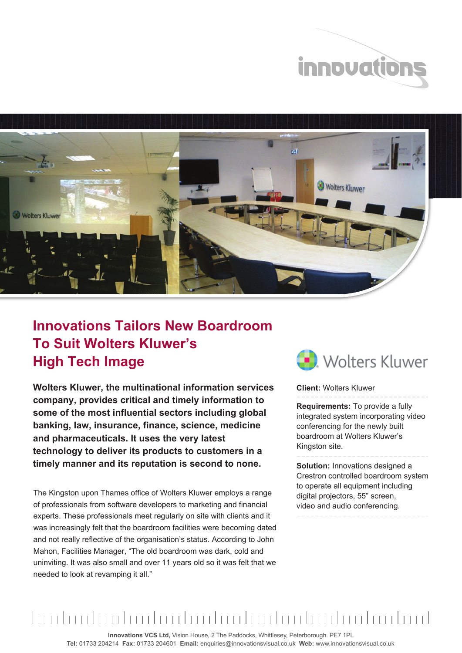



## **Innovations Tailors New Boardroom To Suit Wolters Kluwer's High Tech Image**

**Wolters Kluwer, the multinational information services company, provides critical and timely information to some of the most influential sectors including global banking, law, insurance, finance, science, medicine and pharmaceuticals. It uses the very latest technology to deliver its products to customers in a timely manner and its reputation is second to none.** 

The Kingston upon Thames office of Wolters Kluwer employs a range of professionals from software developers to marketing and financial experts. These professionals meet regularly on site with clients and it was increasingly felt that the boardroom facilities were becoming dated and not really reflective of the organisation's status. According to John Mahon, Facilities Manager, "The old boardroom was dark, cold and uninviting. It was also small and over 11 years old so it was felt that we needed to look at revamping it all."



**Client:** Wolters Kluwer

**Requirements:** To provide a fully integrated system incorporating video conferencing for the newly built boardroom at Wolters Kluwer's Kingston site.

**Solution:** Innovations designed a Crestron controlled boardroom system to operate all equipment including digital projectors, 55" screen, video and audio conferencing.



**Innovations VCS Ltd,** Vision House, 2 The Paddocks, Whittlesey, Peterborough. PE7 1PL **Tel:** 01733 204214 **Fax:** 01733 204601 **Email:** enquiries@innovationsvisual.co.uk **Web:** www.innovationsvisual.co.uk